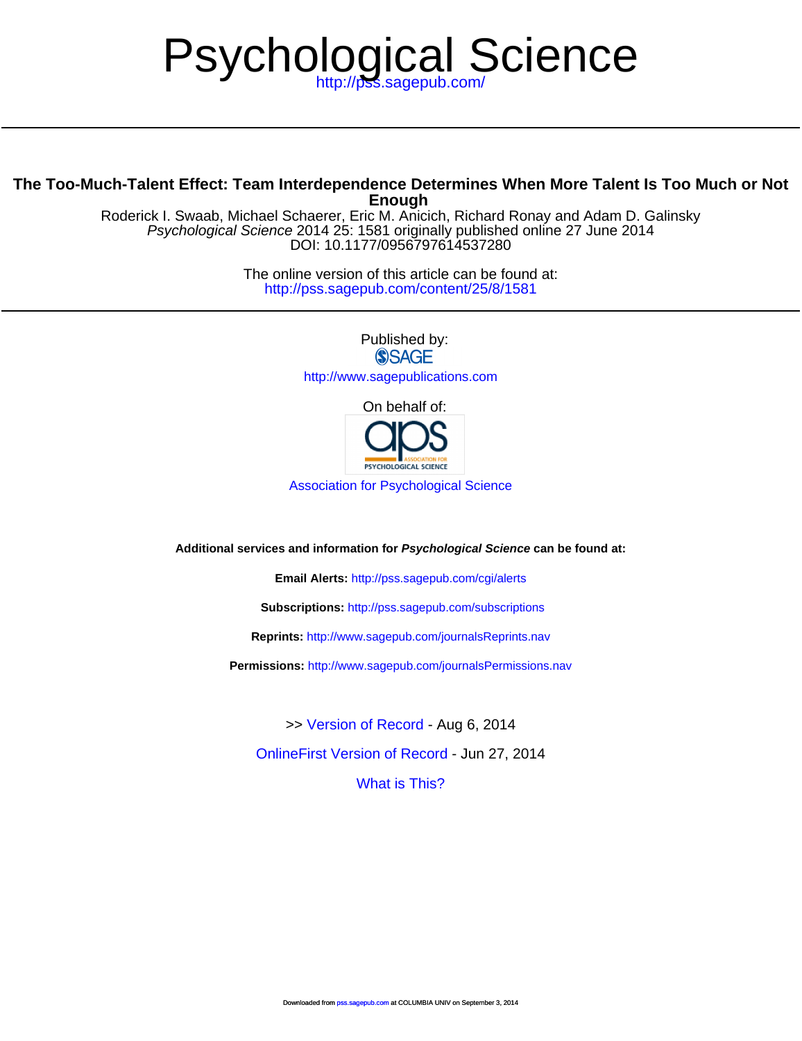# Psychological Science

#### **Enough The Too-Much-Talent Effect: Team Interdependence Determines When More Talent Is Too Much or Not**

DOI: 10.1177/0956797614537280 Psychological Science 2014 25: 1581 originally published online 27 June 2014 Roderick I. Swaab, Michael Schaerer, Eric M. Anicich, Richard Ronay and Adam D. Galinsky

> <http://pss.sagepub.com/content/25/8/1581> The online version of this article can be found at:

> > Published by:<br>
> > SAGE <http://www.sagepublications.com>

> > > On behalf of:



[Association for Psychological Science](http://www.psychologicalscience.org/)

**Additional services and information for Psychological Science can be found at:**

**Email Alerts:** <http://pss.sagepub.com/cgi/alerts>

**Subscriptions:** <http://pss.sagepub.com/subscriptions>

**Reprints:** <http://www.sagepub.com/journalsReprints.nav>

**Permissions:** <http://www.sagepub.com/journalsPermissions.nav>

>> [Version of Record -](http://pss.sagepub.com/content/25/8/1581.full.pdf) Aug 6, 2014

[OnlineFirst Version of Record -](http://pss.sagepub.com/content/early/2014/06/25/0956797614537280.full.pdf) Jun 27, 2014

[What is This?](http://online.sagepub.com/site/sphelp/vorhelp.xhtml)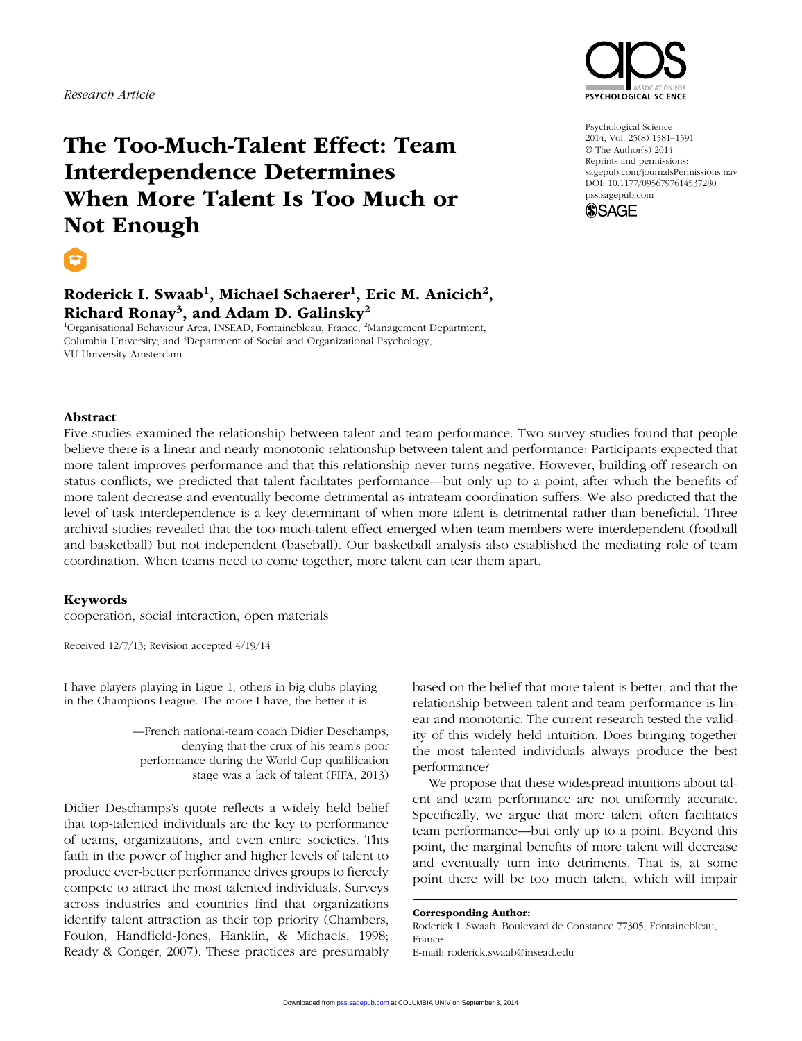

## The Too-Much-Talent Effect: Team Interdependence Determines When More Talent Is Too Much or Not Enough

Psychological Science 2014, Vol. 25(8) 1581–1591 © The Author(s) 2014 Reprints and permissions: sagepub.com/journalsPermissions.nav DOI: 10.1177/0956797614537280 pss.sagepub.com





### Roderick I. Swaab<sup>1</sup>, Michael Schaerer<sup>1</sup>, Eric M. Anicich<sup>2</sup>, Richard Ronay<sup>3</sup>, and Adam D. Galinsky<sup>2</sup>

<sup>1</sup>Organisational Behaviour Area, INSEAD, Fontainebleau, France; <sup>2</sup>Management Department, Columbia University; and <sup>3</sup>Department of Social and Organizational Psychology, VU University Amsterdam

#### Abstract

Five studies examined the relationship between talent and team performance. Two survey studies found that people believe there is a linear and nearly monotonic relationship between talent and performance: Participants expected that more talent improves performance and that this relationship never turns negative. However, building off research on status conflicts, we predicted that talent facilitates performance—but only up to a point, after which the benefits of more talent decrease and eventually become detrimental as intrateam coordination suffers. We also predicted that the level of task interdependence is a key determinant of when more talent is detrimental rather than beneficial. Three archival studies revealed that the too-much-talent effect emerged when team members were interdependent (football and basketball) but not independent (baseball). Our basketball analysis also established the mediating role of team coordination. When teams need to come together, more talent can tear them apart.

#### Keywords

cooperation, social interaction, open materials

Received 12/7/13; Revision accepted 4/19/14

I have players playing in Ligue 1, others in big clubs playing in the Champions League. The more I have, the better it is.

> —French national-team coach Didier Deschamps, denying that the crux of his team's poor performance during the World Cup qualification stage was a lack of talent (FIFA, 2013)

Didier Deschamps's quote reflects a widely held belief that top-talented individuals are the key to performance of teams, organizations, and even entire societies. This faith in the power of higher and higher levels of talent to produce ever-better performance drives groups to fiercely compete to attract the most talented individuals. Surveys across industries and countries find that organizations identify talent attraction as their top priority (Chambers, Foulon, Handfield-Jones, Hanklin, & Michaels, 1998; Ready & Conger, 2007). These practices are presumably

based on the belief that more talent is better, and that the relationship between talent and team performance is linear and monotonic. The current research tested the validity of this widely held intuition. Does bringing together the most talented individuals always produce the best performance?

We propose that these widespread intuitions about talent and team performance are not uniformly accurate. Specifically, we argue that more talent often facilitates team performance—but only up to a point. Beyond this point, the marginal benefits of more talent will decrease and eventually turn into detriments. That is, at some point there will be too much talent, which will impair

Corresponding Author:

Roderick I. Swaab, Boulevard de Constance 77305, Fontainebleau, France E-mail: roderick.swaab@insead.edu

Downloaded from [pss.sagepub.com](http://pss.sagepub.com/) at COLUMBIA UNIV on September 3, 2014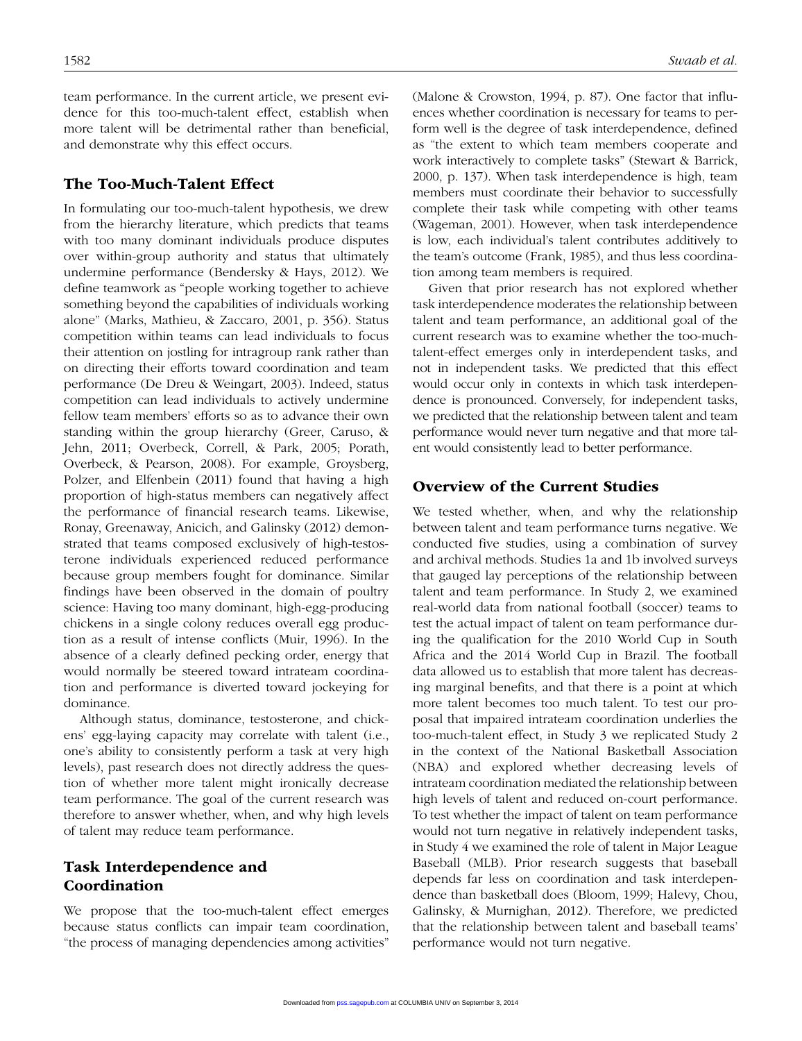team performance. In the current article, we present evidence for this too-much-talent effect, establish when more talent will be detrimental rather than beneficial, and demonstrate why this effect occurs.

#### The Too-Much-Talent Effect

In formulating our too-much-talent hypothesis, we drew from the hierarchy literature, which predicts that teams with too many dominant individuals produce disputes over within-group authority and status that ultimately undermine performance (Bendersky & Hays, 2012). We define teamwork as "people working together to achieve something beyond the capabilities of individuals working alone" (Marks, Mathieu, & Zaccaro, 2001, p. 356). Status competition within teams can lead individuals to focus their attention on jostling for intragroup rank rather than on directing their efforts toward coordination and team performance (De Dreu & Weingart, 2003). Indeed, status competition can lead individuals to actively undermine fellow team members' efforts so as to advance their own standing within the group hierarchy (Greer, Caruso, & Jehn, 2011; Overbeck, Correll, & Park, 2005; Porath, Overbeck, & Pearson, 2008). For example, Groysberg, Polzer, and Elfenbein (2011) found that having a high proportion of high-status members can negatively affect the performance of financial research teams. Likewise, Ronay, Greenaway, Anicich, and Galinsky (2012) demonstrated that teams composed exclusively of high-testosterone individuals experienced reduced performance because group members fought for dominance. Similar findings have been observed in the domain of poultry science: Having too many dominant, high-egg-producing chickens in a single colony reduces overall egg production as a result of intense conflicts (Muir, 1996). In the absence of a clearly defined pecking order, energy that would normally be steered toward intrateam coordination and performance is diverted toward jockeying for dominance.

Although status, dominance, testosterone, and chickens' egg-laying capacity may correlate with talent (i.e., one's ability to consistently perform a task at very high levels), past research does not directly address the question of whether more talent might ironically decrease team performance. The goal of the current research was therefore to answer whether, when, and why high levels of talent may reduce team performance.

#### Task Interdependence and Coordination

We propose that the too-much-talent effect emerges because status conflicts can impair team coordination, "the process of managing dependencies among activities" (Malone & Crowston, 1994, p. 87). One factor that influences whether coordination is necessary for teams to perform well is the degree of task interdependence, defined as "the extent to which team members cooperate and work interactively to complete tasks" (Stewart & Barrick, 2000, p. 137). When task interdependence is high, team members must coordinate their behavior to successfully complete their task while competing with other teams (Wageman, 2001). However, when task interdependence is low, each individual's talent contributes additively to the team's outcome (Frank, 1985), and thus less coordination among team members is required.

Given that prior research has not explored whether task interdependence moderates the relationship between talent and team performance, an additional goal of the current research was to examine whether the too-muchtalent-effect emerges only in interdependent tasks, and not in independent tasks. We predicted that this effect would occur only in contexts in which task interdependence is pronounced. Conversely, for independent tasks, we predicted that the relationship between talent and team performance would never turn negative and that more talent would consistently lead to better performance.

#### Overview of the Current Studies

We tested whether, when, and why the relationship between talent and team performance turns negative. We conducted five studies, using a combination of survey and archival methods. Studies 1a and 1b involved surveys that gauged lay perceptions of the relationship between talent and team performance. In Study 2, we examined real-world data from national football (soccer) teams to test the actual impact of talent on team performance during the qualification for the 2010 World Cup in South Africa and the 2014 World Cup in Brazil. The football data allowed us to establish that more talent has decreasing marginal benefits, and that there is a point at which more talent becomes too much talent. To test our proposal that impaired intrateam coordination underlies the too-much-talent effect, in Study 3 we replicated Study 2 in the context of the National Basketball Association (NBA) and explored whether decreasing levels of intrateam coordination mediated the relationship between high levels of talent and reduced on-court performance. To test whether the impact of talent on team performance would not turn negative in relatively independent tasks, in Study 4 we examined the role of talent in Major League Baseball (MLB). Prior research suggests that baseball depends far less on coordination and task interdependence than basketball does (Bloom, 1999; Halevy, Chou, Galinsky, & Murnighan, 2012). Therefore, we predicted that the relationship between talent and baseball teams' performance would not turn negative.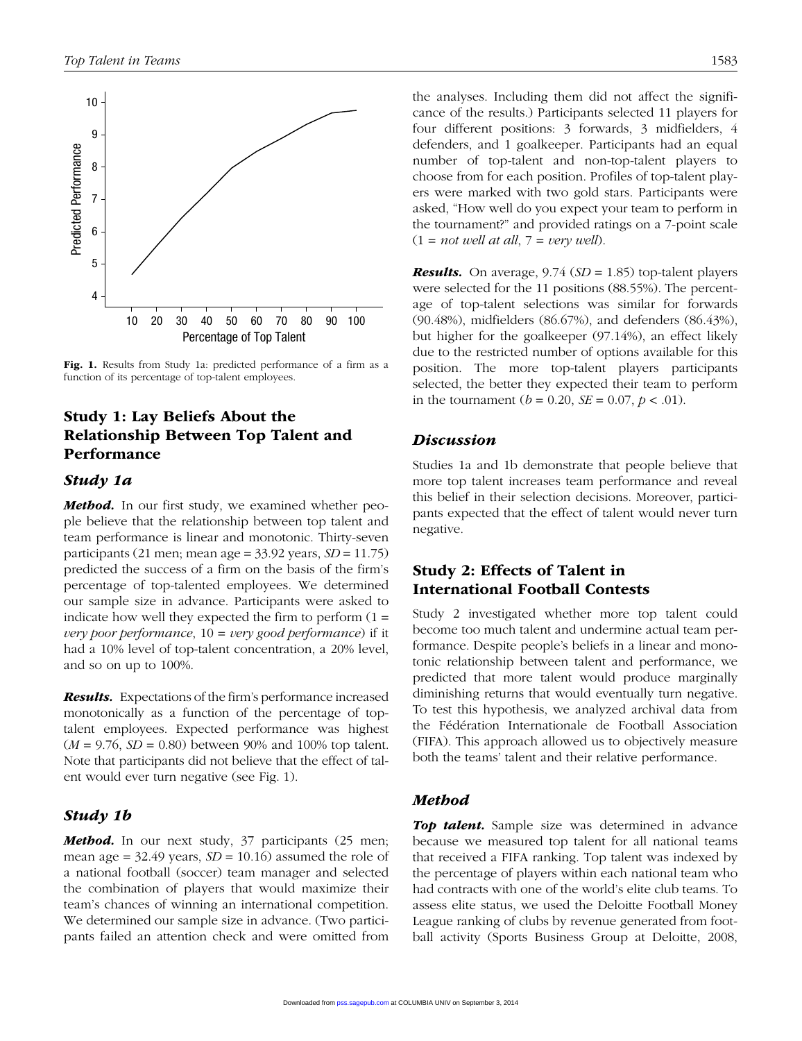

Fig. 1. Results from Study 1a: predicted performance of a firm as a function of its percentage of top-talent employees.

#### Study 1: Lay Beliefs About the Relationship Between Top Talent and Performance

#### *Study 1a*

*Method.* In our first study, we examined whether people believe that the relationship between top talent and team performance is linear and monotonic. Thirty-seven participants (21 men; mean age =  $33.92$  years,  $SD = 11.75$ ) predicted the success of a firm on the basis of the firm's percentage of top-talented employees. We determined our sample size in advance. Participants were asked to indicate how well they expected the firm to perform  $(1 =$ *very poor performance*, 10 = *very good performance*) if it had a 10% level of top-talent concentration, a 20% level, and so on up to 100%.

*Results.* Expectations of the firm's performance increased monotonically as a function of the percentage of toptalent employees. Expected performance was highest (*M* = 9.76, *SD* = 0.80) between 90% and 100% top talent. Note that participants did not believe that the effect of talent would ever turn negative (see Fig. 1).

#### *Study 1b*

*Method.* In our next study, 37 participants (25 men; mean age =  $32.49$  years,  $SD = 10.16$ ) assumed the role of a national football (soccer) team manager and selected the combination of players that would maximize their team's chances of winning an international competition. We determined our sample size in advance. (Two participants failed an attention check and were omitted from the analyses. Including them did not affect the significance of the results.) Participants selected 11 players for four different positions: 3 forwards, 3 midfielders, 4 defenders, and 1 goalkeeper. Participants had an equal number of top-talent and non-top-talent players to choose from for each position. Profiles of top-talent players were marked with two gold stars. Participants were asked, "How well do you expect your team to perform in the tournament?" and provided ratings on a 7-point scale  $(1 = not well at all, 7 = very well).$ 

*Results.* On average, 9.74 (*SD* = 1.85) top-talent players were selected for the 11 positions (88.55%). The percentage of top-talent selections was similar for forwards (90.48%), midfielders (86.67%), and defenders (86.43%), but higher for the goalkeeper (97.14%), an effect likely due to the restricted number of options available for this position. The more top-talent players participants selected, the better they expected their team to perform in the tournament ( $b = 0.20$ , *SE* = 0.07,  $p < .01$ ).

#### *Discussion*

Studies 1a and 1b demonstrate that people believe that more top talent increases team performance and reveal this belief in their selection decisions. Moreover, participants expected that the effect of talent would never turn negative.

#### Study 2: Effects of Talent in International Football Contests

Study 2 investigated whether more top talent could become too much talent and undermine actual team performance. Despite people's beliefs in a linear and monotonic relationship between talent and performance, we predicted that more talent would produce marginally diminishing returns that would eventually turn negative. To test this hypothesis, we analyzed archival data from the Fédération Internationale de Football Association (FIFA). This approach allowed us to objectively measure both the teams' talent and their relative performance.

#### *Method*

*Top talent.* Sample size was determined in advance because we measured top talent for all national teams that received a FIFA ranking. Top talent was indexed by the percentage of players within each national team who had contracts with one of the world's elite club teams. To assess elite status, we used the Deloitte Football Money League ranking of clubs by revenue generated from football activity (Sports Business Group at Deloitte, 2008,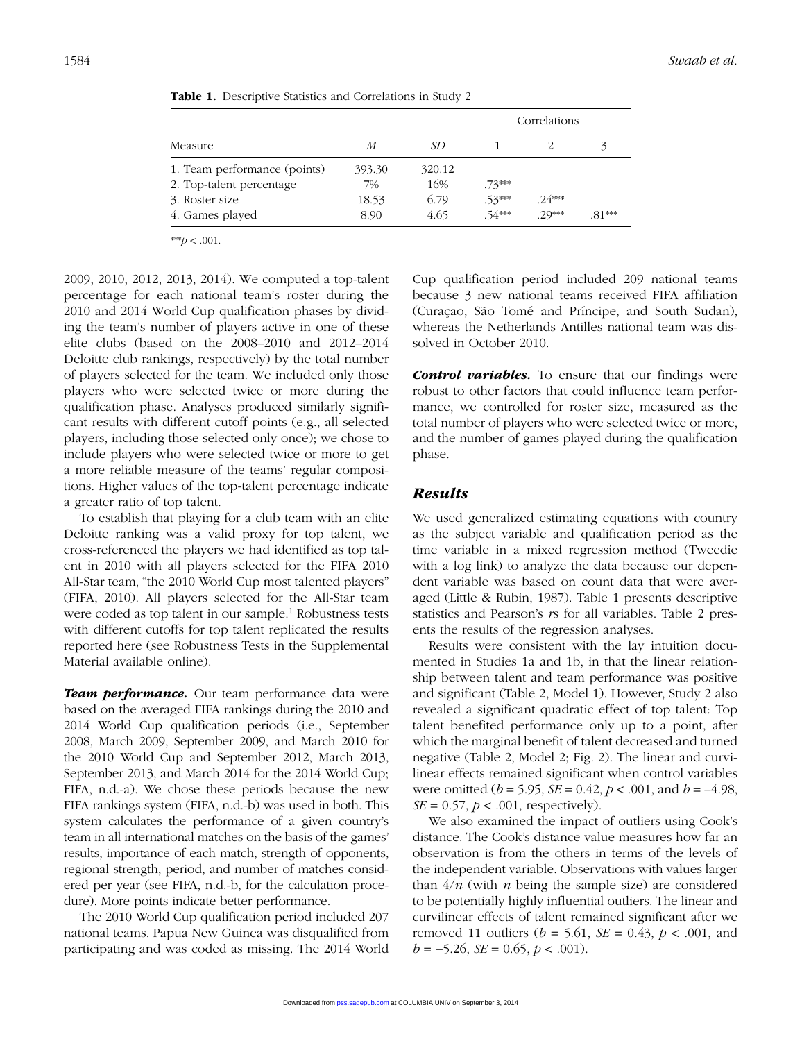|                              |        |        |          | Correlations |          |
|------------------------------|--------|--------|----------|--------------|----------|
| Measure                      | М      | SD     |          |              |          |
| 1. Team performance (points) | 393.30 | 320.12 |          |              |          |
| 2. Top-talent percentage     | 7%     | 16%    | $.73***$ |              |          |
| 3. Roster size               | 18.53  | 6.79   | $.53***$ | $.24***$     |          |
| 4. Games played              | 8.90   | 4.65   | $.54***$ | 29***        | $.81***$ |

Table 1. Descriptive Statistics and Correlations in Study 2

\*\*\**p* < .001.

2009, 2010, 2012, 2013, 2014). We computed a top-talent percentage for each national team's roster during the 2010 and 2014 World Cup qualification phases by dividing the team's number of players active in one of these elite clubs (based on the 2008–2010 and 2012–2014 Deloitte club rankings, respectively) by the total number of players selected for the team. We included only those players who were selected twice or more during the qualification phase. Analyses produced similarly significant results with different cutoff points (e.g., all selected players, including those selected only once); we chose to include players who were selected twice or more to get a more reliable measure of the teams' regular compositions. Higher values of the top-talent percentage indicate a greater ratio of top talent.

To establish that playing for a club team with an elite Deloitte ranking was a valid proxy for top talent, we cross-referenced the players we had identified as top talent in 2010 with all players selected for the FIFA 2010 All-Star team, "the 2010 World Cup most talented players" (FIFA, 2010). All players selected for the All-Star team were coded as top talent in our sample.<sup>1</sup> Robustness tests with different cutoffs for top talent replicated the results reported here (see Robustness Tests in the Supplemental Material available online).

*Team performance.* Our team performance data were based on the averaged FIFA rankings during the 2010 and 2014 World Cup qualification periods (i.e., September 2008, March 2009, September 2009, and March 2010 for the 2010 World Cup and September 2012, March 2013, September 2013, and March 2014 for the 2014 World Cup; FIFA, n.d.-a). We chose these periods because the new FIFA rankings system (FIFA, n.d.-b) was used in both. This system calculates the performance of a given country's team in all international matches on the basis of the games' results, importance of each match, strength of opponents, regional strength, period, and number of matches considered per year (see FIFA, n.d.-b, for the calculation procedure). More points indicate better performance.

The 2010 World Cup qualification period included 207 national teams. Papua New Guinea was disqualified from participating and was coded as missing. The 2014 World Cup qualification period included 209 national teams because 3 new national teams received FIFA affiliation (Curaçao, São Tomé and Príncipe, and South Sudan), whereas the Netherlands Antilles national team was dissolved in October 2010.

*Control variables.* To ensure that our findings were robust to other factors that could influence team performance, we controlled for roster size, measured as the total number of players who were selected twice or more, and the number of games played during the qualification phase.

#### *Results*

We used generalized estimating equations with country as the subject variable and qualification period as the time variable in a mixed regression method (Tweedie with a log link) to analyze the data because our dependent variable was based on count data that were averaged (Little & Rubin, 1987). Table 1 presents descriptive statistics and Pearson's *r*s for all variables. Table 2 presents the results of the regression analyses.

Results were consistent with the lay intuition documented in Studies 1a and 1b, in that the linear relationship between talent and team performance was positive and significant (Table 2, Model 1). However, Study 2 also revealed a significant quadratic effect of top talent: Top talent benefited performance only up to a point, after which the marginal benefit of talent decreased and turned negative (Table 2, Model 2; Fig. 2). The linear and curvilinear effects remained significant when control variables were omitted (*b* = 5.95, *SE* = 0.42, *p* < .001, and *b* = –4.98,  $SE = 0.57$ ,  $p < .001$ , respectively).

We also examined the impact of outliers using Cook's distance. The Cook's distance value measures how far an observation is from the others in terms of the levels of the independent variable. Observations with values larger than  $4/n$  (with *n* being the sample size) are considered to be potentially highly influential outliers. The linear and curvilinear effects of talent remained significant after we removed 11 outliers (*b* = 5.61, *SE* = 0.43, *p* < .001, and  $b = -5.26$ , *SE* = 0.65, *p* < .001).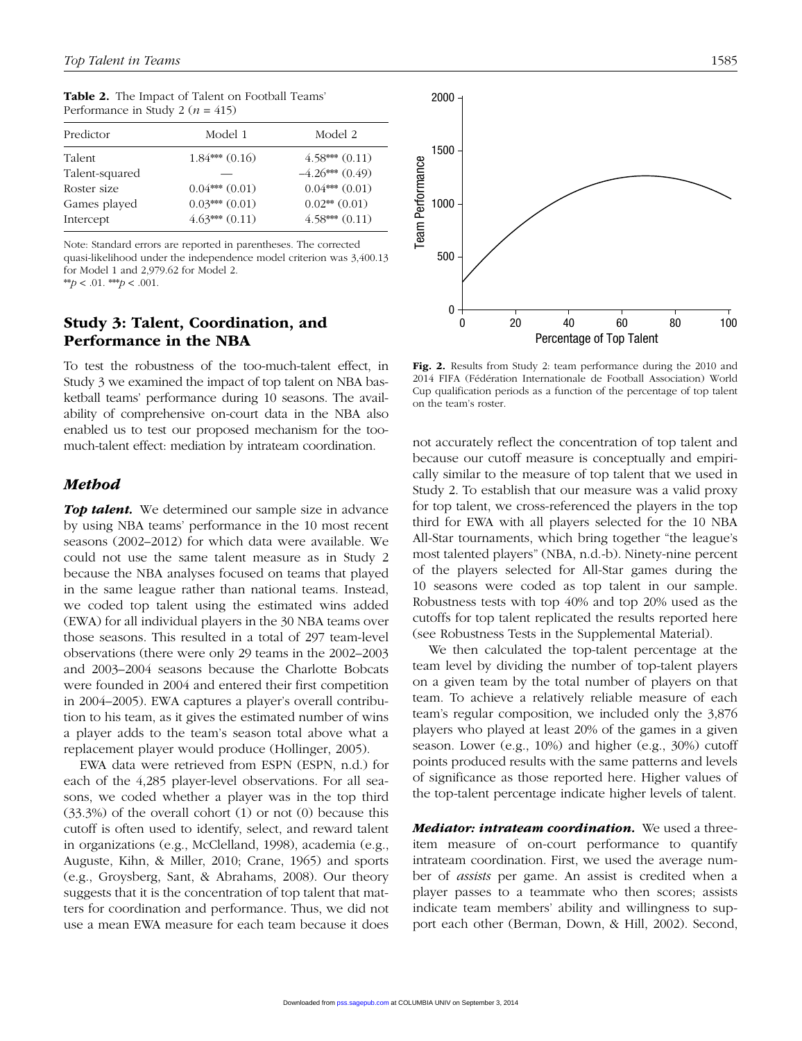Table 2. The Impact of Talent on Football Teams' Performance in Study 2 ( $n = 415$ )

| Predictor      | Model 1            | Model 2            |
|----------------|--------------------|--------------------|
| Talent         | $1.84***(0.16)$    | $4.58***(0.11)$    |
| Talent-squared |                    | $-4.26***$ (0.49)  |
| Roster size    | $0.04***$ $(0.01)$ | $0.04***$ $(0.01)$ |
| Games played   | $0.03***$ $(0.01)$ | $0.02**$ $(0.01)$  |
| Intercept      | $4.63***$ $(0.11)$ | $4.58***(0.11)$    |

Note: Standard errors are reported in parentheses. The corrected quasi-likelihood under the independence model criterion was 3,400.13 for Model 1 and 2,979.62 for Model 2.

\*\**p* < .01. \*\*\**p* < .001.

#### Study 3: Talent, Coordination, and Performance in the NBA

To test the robustness of the too-much-talent effect, in Study 3 we examined the impact of top talent on NBA basketball teams' performance during 10 seasons. The availability of comprehensive on-court data in the NBA also enabled us to test our proposed mechanism for the toomuch-talent effect: mediation by intrateam coordination.

#### *Method*

*Top talent.* We determined our sample size in advance by using NBA teams' performance in the 10 most recent seasons (2002–2012) for which data were available. We could not use the same talent measure as in Study 2 because the NBA analyses focused on teams that played in the same league rather than national teams. Instead, we coded top talent using the estimated wins added (EWA) for all individual players in the 30 NBA teams over those seasons. This resulted in a total of 297 team-level observations (there were only 29 teams in the 2002–2003 and 2003–2004 seasons because the Charlotte Bobcats were founded in 2004 and entered their first competition in 2004–2005). EWA captures a player's overall contribution to his team, as it gives the estimated number of wins a player adds to the team's season total above what a replacement player would produce (Hollinger, 2005).

EWA data were retrieved from ESPN (ESPN, n.d.) for each of the 4,285 player-level observations. For all seasons, we coded whether a player was in the top third (33.3%) of the overall cohort (1) or not (0) because this cutoff is often used to identify, select, and reward talent in organizations (e.g., McClelland, 1998), academia (e.g., Auguste, Kihn, & Miller, 2010; Crane, 1965) and sports (e.g., Groysberg, Sant, & Abrahams, 2008). Our theory suggests that it is the concentration of top talent that matters for coordination and performance. Thus, we did not use a mean EWA measure for each team because it does



Fig. 2. Results from Study 2: team performance during the 2010 and 2014 FIFA (Fédération Internationale de Football Association) World Cup qualification periods as a function of the percentage of top talent on the team's roster.

not accurately reflect the concentration of top talent and because our cutoff measure is conceptually and empirically similar to the measure of top talent that we used in Study 2. To establish that our measure was a valid proxy for top talent, we cross-referenced the players in the top third for EWA with all players selected for the 10 NBA All-Star tournaments, which bring together "the league's most talented players" (NBA, n.d.-b). Ninety-nine percent of the players selected for All-Star games during the 10 seasons were coded as top talent in our sample. Robustness tests with top 40% and top 20% used as the cutoffs for top talent replicated the results reported here (see Robustness Tests in the Supplemental Material).

We then calculated the top-talent percentage at the team level by dividing the number of top-talent players on a given team by the total number of players on that team. To achieve a relatively reliable measure of each team's regular composition, we included only the 3,876 players who played at least 20% of the games in a given season. Lower (e.g., 10%) and higher (e.g., 30%) cutoff points produced results with the same patterns and levels of significance as those reported here. Higher values of the top-talent percentage indicate higher levels of talent.

*Mediator: intrateam coordination.* We used a threeitem measure of on-court performance to quantify intrateam coordination. First, we used the average number of *assists* per game. An assist is credited when a player passes to a teammate who then scores; assists indicate team members' ability and willingness to support each other (Berman, Down, & Hill, 2002). Second,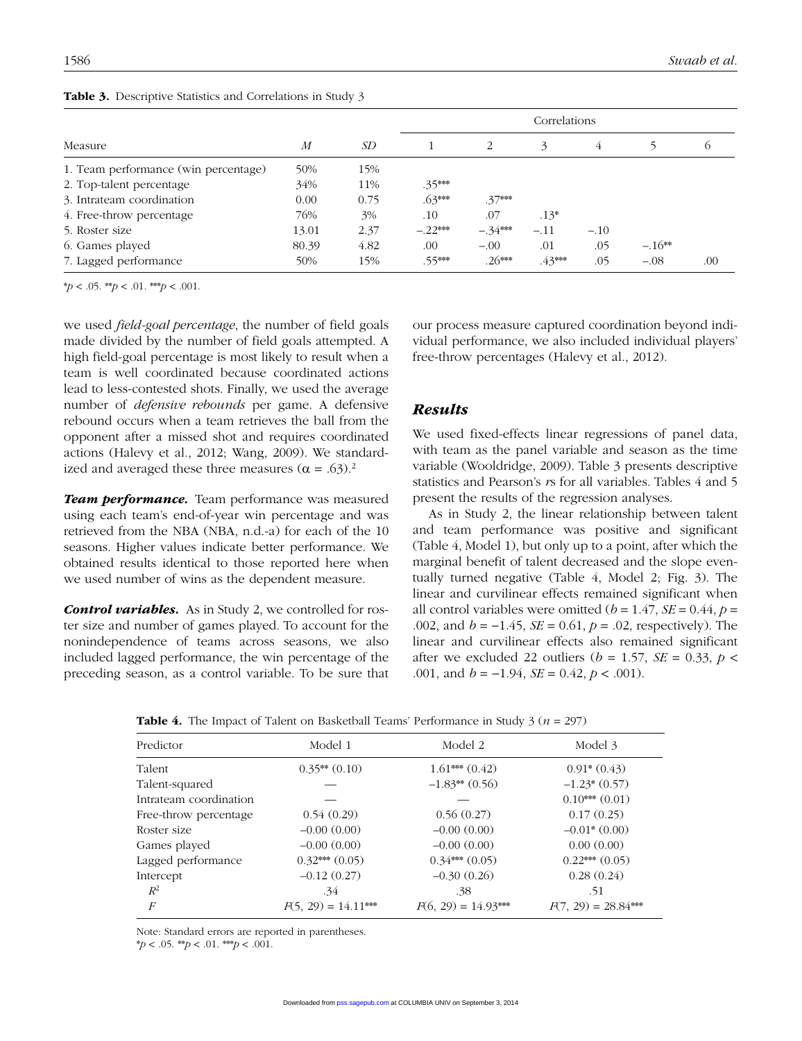|                                      | Correlations |      |           |           |          |        |          |         |  |
|--------------------------------------|--------------|------|-----------|-----------|----------|--------|----------|---------|--|
| Measure                              | M            | SD.  |           | 2         | 3        | 4      |          | $\circ$ |  |
| 1. Team performance (win percentage) | 50%          | 15%  |           |           |          |        |          |         |  |
| 2. Top-talent percentage             | 34%          | 11%  | $.35***$  |           |          |        |          |         |  |
| 3. Intrateam coordination            | 0.00         | 0.75 | $.63***$  | $.37***$  |          |        |          |         |  |
| 4. Free-throw percentage             | 76%          | 3%   | .10       | .07       | $.13*$   |        |          |         |  |
| 5. Roster size                       | 13.01        | 2.37 | $-.22***$ | $-.34***$ | $-.11$   | $-.10$ |          |         |  |
| 6. Games played                      | 80.39        | 4.82 | .00       | $-.00$    | .01      | .05    | $-.16**$ |         |  |
| 7. Lagged performance                | 50%          | 15%  | $.55***$  | $.26***$  | $.43***$ | .05    | $-.08$   | .00     |  |

Table 3. Descriptive Statistics and Correlations in Study 3

\**p* < .05. \*\**p* < .01. \*\*\**p* < .001.

we used *field-goal percentage*, the number of field goals made divided by the number of field goals attempted. A high field-goal percentage is most likely to result when a team is well coordinated because coordinated actions lead to less-contested shots. Finally, we used the average number of *defensive rebounds* per game. A defensive rebound occurs when a team retrieves the ball from the opponent after a missed shot and requires coordinated actions (Halevy et al., 2012; Wang, 2009). We standardized and averaged these three measures ( $\alpha = .63$ ).<sup>2</sup>

*Team performance.* Team performance was measured using each team's end-of-year win percentage and was retrieved from the NBA (NBA, n.d.-a) for each of the 10 seasons. Higher values indicate better performance. We obtained results identical to those reported here when we used number of wins as the dependent measure.

*Control variables.* As in Study 2, we controlled for roster size and number of games played. To account for the nonindependence of teams across seasons, we also included lagged performance, the win percentage of the preceding season, as a control variable. To be sure that our process measure captured coordination beyond individual performance, we also included individual players' free-throw percentages (Halevy et al., 2012).

#### *Results*

We used fixed-effects linear regressions of panel data, with team as the panel variable and season as the time variable (Wooldridge, 2009). Table 3 presents descriptive statistics and Pearson's *r*s for all variables. Tables 4 and 5 present the results of the regression analyses.

As in Study 2, the linear relationship between talent and team performance was positive and significant (Table 4, Model 1), but only up to a point, after which the marginal benefit of talent decreased and the slope eventually turned negative (Table 4, Model 2; Fig. 3). The linear and curvilinear effects remained significant when all control variables were omitted ( $b = 1.47$ ,  $SE = 0.44$ ,  $p =$ .002, and *b* = −1.45, *SE* = 0.61, *p* = .02, respectively). The linear and curvilinear effects also remained significant after we excluded 22 outliers ( $b = 1.57$ ,  $SE = 0.33$ ,  $p <$ .001, and *b* = −1.94, *SE* = 0.42, *p* < .001).

|  | <b>Table 4.</b> The Impact of Talent on Basketball Teams' Performance in Study $3 (n = 297)$ |  |  |  |  |  |  |  |
|--|----------------------------------------------------------------------------------------------|--|--|--|--|--|--|--|
|--|----------------------------------------------------------------------------------------------|--|--|--|--|--|--|--|

| Predictor              | Model 1               | Model 2                        | Model 3               |
|------------------------|-----------------------|--------------------------------|-----------------------|
| Talent                 | $0.35**$ $(0.10)$     | $1.61***(0.42)$                | $0.91*(0.43)$         |
| Talent-squared         |                       | $-1.83$ <sup>**</sup> $(0.56)$ | $-1.23*(0.57)$        |
| Intrateam coordination |                       |                                | $0.10***$ $(0.01)$    |
| Free-throw percentage  | 0.54(0.29)            | 0.56(0.27)                     | 0.17(0.25)            |
| Roster size            | $-0.00(0.00)$         | $-0.00(0.00)$                  | $-0.01*(0.00)$        |
| Games played           | $-0.00(0.00)$         | $-0.00(0.00)$                  | 0.00(0.00)            |
| Lagged performance     | $0.32***(0.05)$       | $0.34***(0.05)$                | $0.22***$ $(0.05)$    |
| Intercept              | $-0.12(0.27)$         | $-0.30(0.26)$                  | 0.28(0.24)            |
| $R^2$                  | .34                   | .38                            | .51                   |
| F                      | $F(5, 29) = 14.11***$ | $F(6, 29) = 14.93***$          | $F(7, 29) = 28.84***$ |

Note: Standard errors are reported in parentheses.

\**p* < .05. \*\**p* < .01. \*\*\**p* < .001.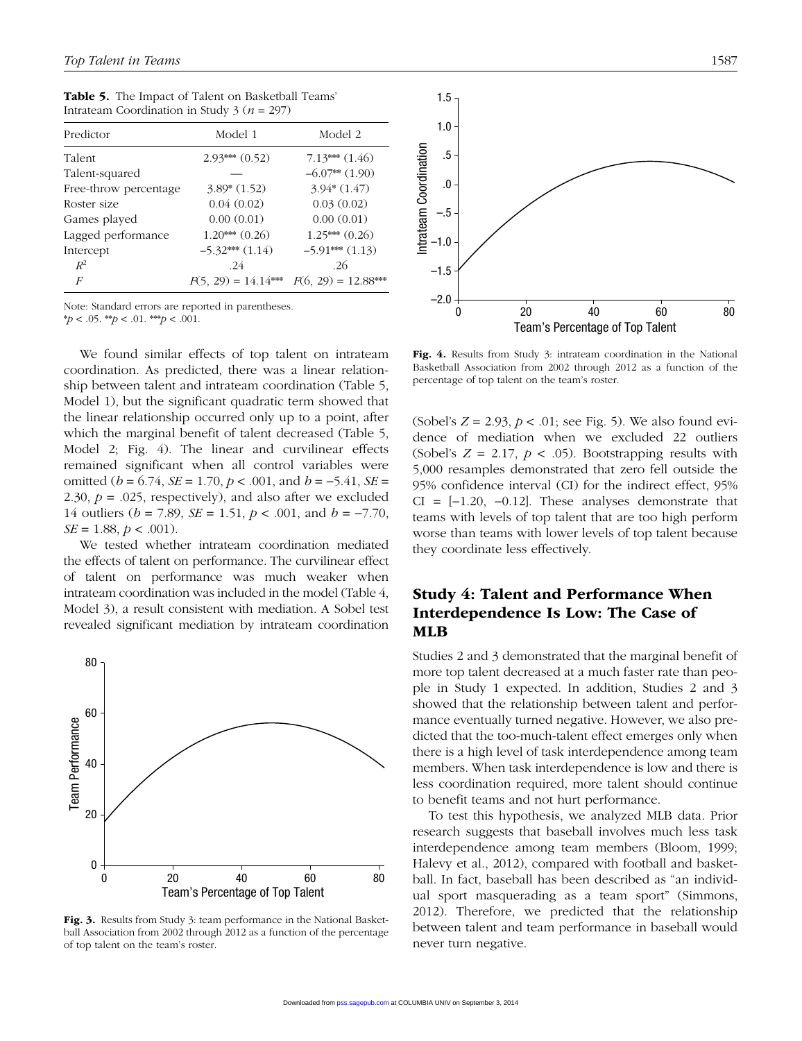| <b>Table 5.</b> The Impact of Talent on Basketball Teams' |
|-----------------------------------------------------------|
| Intrateam Coordination in Study 3 ( $n = 297$ )           |

| Predictor             | Model 1               | Model 2               |
|-----------------------|-----------------------|-----------------------|
| Talent                | $2.93***(0.52)$       | $7.13***$ $(1.46)$    |
| Talent-squared        |                       | $-6.07**$ (1.90)      |
| Free-throw percentage | $3.89*(1.52)$         | $3.94*(1.47)$         |
| Roster size           | 0.04(0.02)            | 0.03(0.02)            |
| Games played          | 0.00(0.01)            | 0.00(0.01)            |
| Lagged performance    | $1.20***$ $(0.26)$    | $1.25***(0.26)$       |
| Intercept             | $-5.32***(1.14)$      | $-5.91***(1.13)$      |
| $R^2$                 | -24                   | -26                   |
| F                     | $F(5, 29) = 14.14***$ | $F(6, 29) = 12.88***$ |

Note: Standard errors are reported in parentheses. \* $p < .05$ . \*\* $p < .01$ . \*\* $p < .001$ .

We found similar effects of top talent on intrateam coordination. As predicted, there was a linear relationship between talent and intrateam coordination (Table 5, Model 1), but the significant quadratic term showed that the linear relationship occurred only up to a point, after which the marginal benefit of talent decreased (Table 5, Model 2; Fig. 4). The linear and curvilinear effects remained significant when all control variables were omitted (*b* = 6.74, *SE* = 1.70, *p* < .001, and *b* = −5.41, *SE* = 2.30,  $p = 0.025$ , respectively), and also after we excluded 14 outliers (*b* = 7.89, *SE* = 1.51, *p* < .001, and *b* = −7.70,  $SE = 1.88, p < .001$ .

We tested whether intrateam coordination mediated the effects of talent on performance. The curvilinear effect of talent on performance was much weaker when intrateam coordination was included in the model (Table 4, Model 3), a result consistent with mediation. A Sobel test revealed significant mediation by intrateam coordination



Fig. 3. Results from Study 3: team performance in the National Basketball Association from 2002 through 2012 as a function of the percentage of top talent on the team's roster.



Fig. 4. Results from Study 3: intrateam coordination in the National Basketball Association from 2002 through 2012 as a function of the percentage of top talent on the team's roster.

(Sobel's *Z* = 2.93, *p* < .01; see Fig. 5). We also found evidence of mediation when we excluded 22 outliers (Sobel's  $Z = 2.17$ ,  $p < .05$ ). Bootstrapping results with 5,000 resamples demonstrated that zero fell outside the 95% confidence interval (CI) for the indirect effect, 95%  $CI = [-1.20, -0.12]$ . These analyses demonstrate that teams with levels of top talent that are too high perform worse than teams with lower levels of top talent because they coordinate less effectively.

#### Study 4: Talent and Performance When Interdependence Is Low: The Case of MLB

Studies 2 and 3 demonstrated that the marginal benefit of more top talent decreased at a much faster rate than people in Study 1 expected. In addition, Studies 2 and 3 showed that the relationship between talent and performance eventually turned negative. However, we also predicted that the too-much-talent effect emerges only when there is a high level of task interdependence among team members. When task interdependence is low and there is less coordination required, more talent should continue to benefit teams and not hurt performance.

To test this hypothesis, we analyzed MLB data. Prior research suggests that baseball involves much less task interdependence among team members (Bloom, 1999; Halevy et al., 2012), compared with football and basketball. In fact, baseball has been described as ''an individual sport masquerading as a team sport'' (Simmons, 2012). Therefore, we predicted that the relationship between talent and team performance in baseball would never turn negative.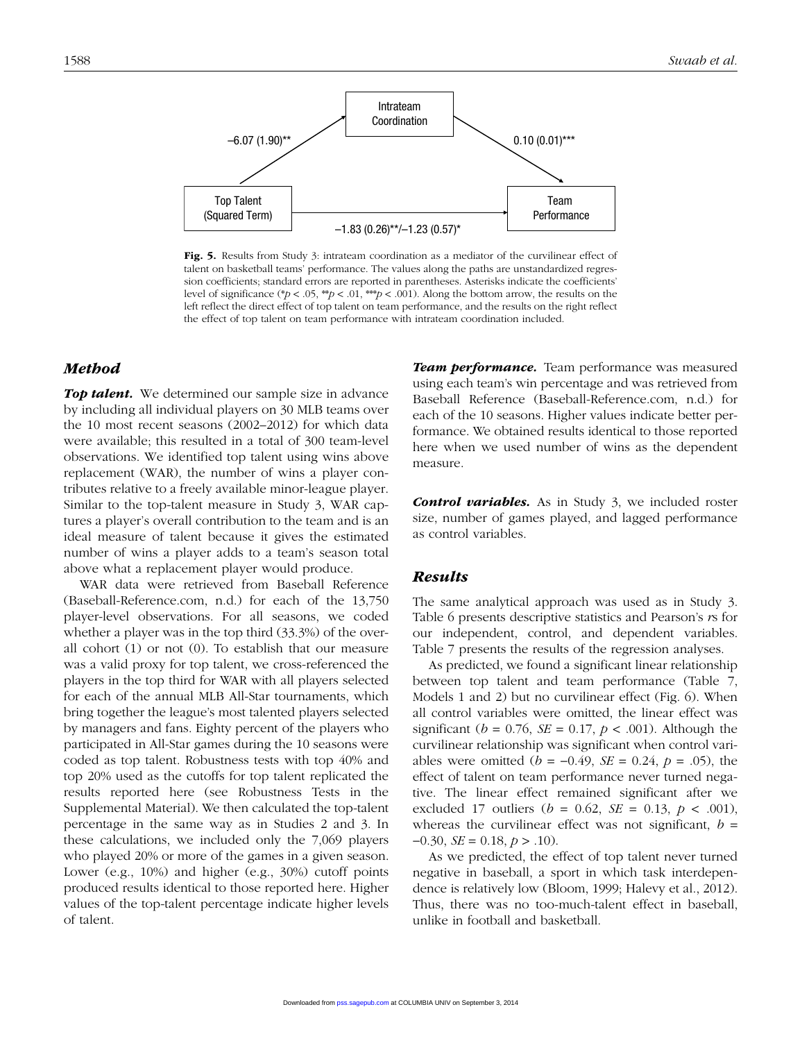

Fig. 5. Results from Study 3: intrateam coordination as a mediator of the curvilinear effect of talent on basketball teams' performance. The values along the paths are unstandardized regression coefficients; standard errors are reported in parentheses. Asterisks indicate the coefficients' level of significance (\**p* < .05, \*\**p* < .01, \*\*\**p* < .001). Along the bottom arrow, the results on the left reflect the direct effect of top talent on team performance, and the results on the right reflect the effect of top talent on team performance with intrateam coordination included.

#### *Method*

*Top talent.* We determined our sample size in advance by including all individual players on 30 MLB teams over the 10 most recent seasons (2002–2012) for which data were available; this resulted in a total of 300 team-level observations. We identified top talent using wins above replacement (WAR), the number of wins a player contributes relative to a freely available minor-league player. Similar to the top-talent measure in Study 3, WAR captures a player's overall contribution to the team and is an ideal measure of talent because it gives the estimated number of wins a player adds to a team's season total above what a replacement player would produce.

WAR data were retrieved from Baseball Reference (Baseball-Reference.com, n.d.) for each of the 13,750 player-level observations. For all seasons, we coded whether a player was in the top third (33.3%) of the overall cohort (1) or not (0). To establish that our measure was a valid proxy for top talent, we cross-referenced the players in the top third for WAR with all players selected for each of the annual MLB All-Star tournaments, which bring together the league's most talented players selected by managers and fans. Eighty percent of the players who participated in All-Star games during the 10 seasons were coded as top talent. Robustness tests with top 40% and top 20% used as the cutoffs for top talent replicated the results reported here (see Robustness Tests in the Supplemental Material). We then calculated the top-talent percentage in the same way as in Studies 2 and 3. In these calculations, we included only the 7,069 players who played 20% or more of the games in a given season. Lower (e.g., 10%) and higher (e.g., 30%) cutoff points produced results identical to those reported here. Higher values of the top-talent percentage indicate higher levels of talent.

*Team performance.* Team performance was measured using each team's win percentage and was retrieved from Baseball Reference (Baseball-Reference.com, n.d.) for each of the 10 seasons. Higher values indicate better performance. We obtained results identical to those reported here when we used number of wins as the dependent measure.

*Control variables.* As in Study 3, we included roster size, number of games played, and lagged performance as control variables.

#### *Results*

The same analytical approach was used as in Study 3. Table 6 presents descriptive statistics and Pearson's *r*s for our independent, control, and dependent variables. Table 7 presents the results of the regression analyses.

As predicted, we found a significant linear relationship between top talent and team performance (Table 7, Models 1 and 2) but no curvilinear effect (Fig. 6). When all control variables were omitted, the linear effect was significant ( $b = 0.76$ ,  $SE = 0.17$ ,  $p < .001$ ). Although the curvilinear relationship was significant when control variables were omitted (*b* = −0.49, *SE* = 0.24, *p* = .05), the effect of talent on team performance never turned negative. The linear effect remained significant after we excluded 17 outliers ( $b = 0.62$ ,  $SE = 0.13$ ,  $p < .001$ ), whereas the curvilinear effect was not significant,  $b =$ −0.30, *SE* = 0.18, *p* > .10).

As we predicted, the effect of top talent never turned negative in baseball, a sport in which task interdependence is relatively low (Bloom, 1999; Halevy et al., 2012). Thus, there was no too-much-talent effect in baseball, unlike in football and basketball.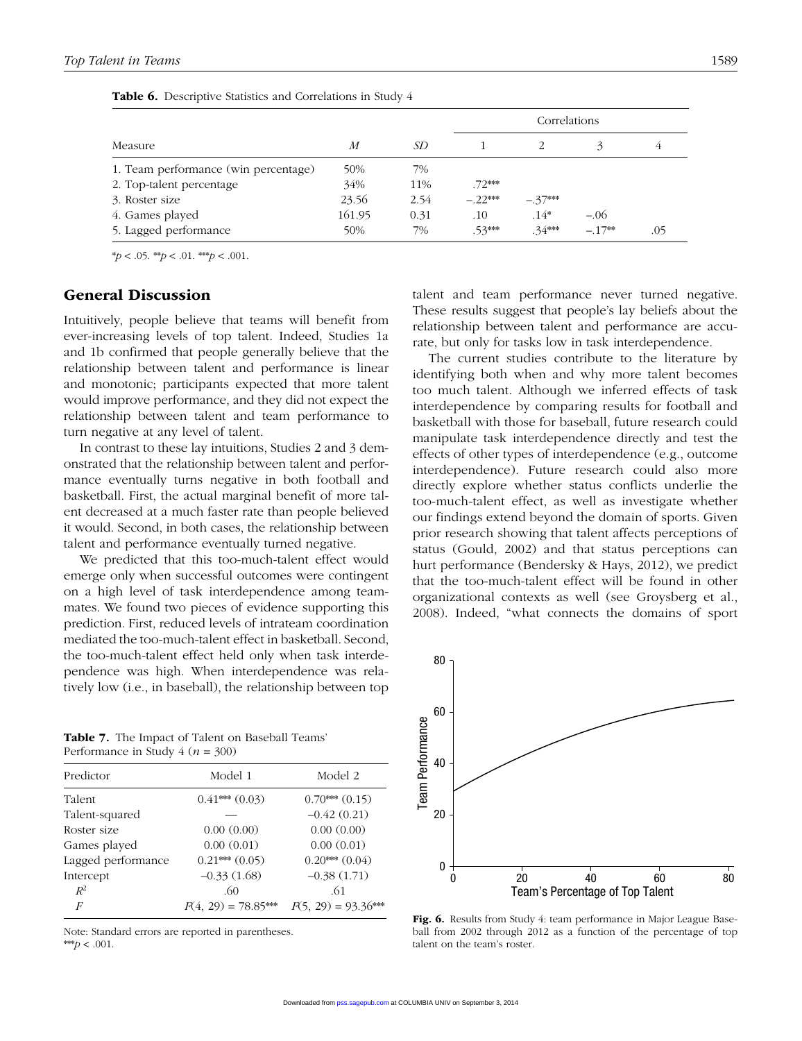|                                      |        |      | Correlations |           |          |     |
|--------------------------------------|--------|------|--------------|-----------|----------|-----|
| Measure                              | M      | SD   |              |           |          | 4   |
| 1. Team performance (win percentage) | 50%    | 7%   |              |           |          |     |
| 2. Top-talent percentage             | 34%    | 11%  | $.72***$     |           |          |     |
| 3. Roster size                       | 23.56  | 2.54 | $-.22***$    | $-.37***$ |          |     |
| 4. Games played                      | 161.95 | 0.31 | .10          | $.14*$    | $-.06$   |     |
| 5. Lagged performance                | 50%    | 7%   | $.53***$     | $.34***$  | $-.17**$ | .05 |

Table 6. Descriptive Statistics and Correlations in Study 4

\* $p < .05$ . \*\* $p < .01$ . \*\* $p < .001$ .

#### General Discussion

Intuitively, people believe that teams will benefit from ever-increasing levels of top talent. Indeed, Studies 1a and 1b confirmed that people generally believe that the relationship between talent and performance is linear and monotonic; participants expected that more talent would improve performance, and they did not expect the relationship between talent and team performance to turn negative at any level of talent.

In contrast to these lay intuitions, Studies 2 and 3 demonstrated that the relationship between talent and performance eventually turns negative in both football and basketball. First, the actual marginal benefit of more talent decreased at a much faster rate than people believed it would. Second, in both cases, the relationship between talent and performance eventually turned negative.

We predicted that this too-much-talent effect would emerge only when successful outcomes were contingent on a high level of task interdependence among teammates. We found two pieces of evidence supporting this prediction. First, reduced levels of intrateam coordination mediated the too-much-talent effect in basketball. Second, the too-much-talent effect held only when task interdependence was high. When interdependence was relatively low (i.e., in baseball), the relationship between top

Table 7. The Impact of Talent on Baseball Teams' Performance in Study 4 (*n* = 300)

| Predictor          | Model 1               | Model 2               |
|--------------------|-----------------------|-----------------------|
| Talent             | $0.41***(0.03)$       | $0.70***$ $(0.15)$    |
| Talent-squared     |                       | $-0.42(0.21)$         |
| Roster size        | 0.00(0.00)            | 0.00(0.00)            |
| Games played       | 0.00(0.01)            | 0.00(0.01)            |
| Lagged performance | $0.21***$ $(0.05)$    | $0.20***$ $(0.04)$    |
| Intercept          | $-0.33(1.68)$         | $-0.38(1.71)$         |
| $R^2$              | .60                   | .61                   |
| F                  | $F(4, 29) = 78.85***$ | $F(5, 29) = 93.36***$ |
|                    |                       |                       |

Note: Standard errors are reported in parentheses. \*\*\**p* < .001.

talent and team performance never turned negative. These results suggest that people's lay beliefs about the relationship between talent and performance are accurate, but only for tasks low in task interdependence.

The current studies contribute to the literature by identifying both when and why more talent becomes too much talent. Although we inferred effects of task interdependence by comparing results for football and basketball with those for baseball, future research could manipulate task interdependence directly and test the effects of other types of interdependence (e.g., outcome interdependence). Future research could also more directly explore whether status conflicts underlie the too-much-talent effect, as well as investigate whether our findings extend beyond the domain of sports. Given prior research showing that talent affects perceptions of status (Gould, 2002) and that status perceptions can hurt performance (Bendersky & Hays, 2012), we predict that the too-much-talent effect will be found in other organizational contexts as well (see Groysberg et al., 2008). Indeed, "what connects the domains of sport



Fig. 6. Results from Study 4: team performance in Major League Baseball from 2002 through 2012 as a function of the percentage of top talent on the team's roster.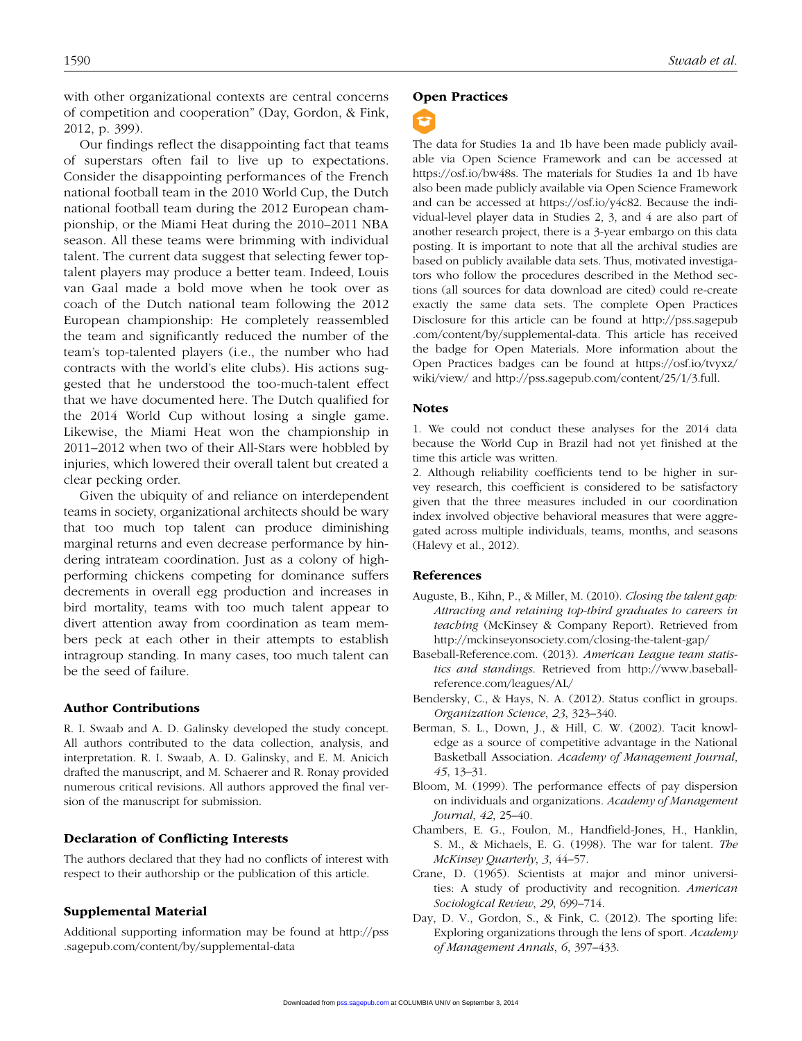with other organizational contexts are central concerns of competition and cooperation" (Day, Gordon, & Fink, 2012, p. 399).

Our findings reflect the disappointing fact that teams of superstars often fail to live up to expectations. Consider the disappointing performances of the French national football team in the 2010 World Cup, the Dutch national football team during the 2012 European championship, or the Miami Heat during the 2010–2011 NBA season. All these teams were brimming with individual talent. The current data suggest that selecting fewer toptalent players may produce a better team. Indeed, Louis van Gaal made a bold move when he took over as coach of the Dutch national team following the 2012 European championship: He completely reassembled the team and significantly reduced the number of the team's top-talented players (i.e., the number who had contracts with the world's elite clubs). His actions suggested that he understood the too-much-talent effect that we have documented here. The Dutch qualified for the 2014 World Cup without losing a single game. Likewise, the Miami Heat won the championship in 2011–2012 when two of their All-Stars were hobbled by injuries, which lowered their overall talent but created a clear pecking order.

Given the ubiquity of and reliance on interdependent teams in society, organizational architects should be wary that too much top talent can produce diminishing marginal returns and even decrease performance by hindering intrateam coordination. Just as a colony of highperforming chickens competing for dominance suffers decrements in overall egg production and increases in bird mortality, teams with too much talent appear to divert attention away from coordination as team members peck at each other in their attempts to establish intragroup standing. In many cases, too much talent can be the seed of failure.

#### Author Contributions

R. I. Swaab and A. D. Galinsky developed the study concept. All authors contributed to the data collection, analysis, and interpretation. R. I. Swaab, A. D. Galinsky, and E. M. Anicich drafted the manuscript, and M. Schaerer and R. Ronay provided numerous critical revisions. All authors approved the final version of the manuscript for submission.

#### Declaration of Conflicting Interests

The authors declared that they had no conflicts of interest with respect to their authorship or the publication of this article.

#### Supplemental Material

[Additional supporting information may be found at http://pss](http://pss.sagepub.com/content/by/supplemental-data) .sagepub.com/content/by/supplemental-data

#### Open Practices

The data for Studies 1a and 1b have been made publicly available via Open Science Framework and can be accessed at https://osf.io/bw48s. The materials for Studies 1a and 1b have also been made publicly available via Open Science Framework and can be accessed at https://osf.io/y4c82. Because the individual-level player data in Studies 2, 3, and 4 are also part of another research project, there is a 3-year embargo on this data posting. It is important to note that all the archival studies are based on publicly available data sets. Thus, motivated investigators who follow the procedures described in the Method sections (all sources for data download are cited) could re-create exactly the same data sets. The complete Open Practices [Disclosure for this article can be found at http://pss.sagepub](http://pss.sagepub.com/content/by/supplemental-data) .com/content/by/supplemental-data. This article has received the badge for Open Materials. More information about the [Open Practices badges can be found at https://osf.io/tvyxz/](https://osf.io/tvyxz/wiki/view/) wiki/view/ and [http://pss.sagepub.com/content/25/1/3.full.](http://pss.sagepub.com/content/25/1/3.full)

#### Notes

1. We could not conduct these analyses for the 2014 data because the World Cup in Brazil had not yet finished at the time this article was written.

2. Although reliability coefficients tend to be higher in survey research, this coefficient is considered to be satisfactory given that the three measures included in our coordination index involved objective behavioral measures that were aggregated across multiple individuals, teams, months, and seasons (Halevy et al., 2012).

#### References

- Auguste, B., Kihn, P., & Miller, M. (2010). *Closing the talent gap: Attracting and retaining top-third graduates to careers in teaching* (McKinsey & Company Report). Retrieved from http://mckinseyonsociety.com/closing-the-talent-gap/
- Baseball-Reference.com. (2013). *American League team statistics and standings*. Retrieved from http://www.baseballreference.com/leagues/AL/
- Bendersky, C., & Hays, N. A. (2012). Status conflict in groups. *Organization Science*, *23*, 323–340.
- Berman, S. L., Down, J., & Hill, C. W. (2002). Tacit knowledge as a source of competitive advantage in the National Basketball Association. *Academy of Management Journal*, *45*, 13–31.
- Bloom, M. (1999). The performance effects of pay dispersion on individuals and organizations. *Academy of Management Journal*, *42*, 25–40.
- Chambers, E. G., Foulon, M., Handfield-Jones, H., Hanklin, S. M., & Michaels, E. G. (1998). The war for talent. *The McKinsey Quarterly*, *3*, 44–57.
- Crane, D. (1965). Scientists at major and minor universities: A study of productivity and recognition. *American Sociological Review*, *29*, 699–714.
- Day, D. V., Gordon, S., & Fink, C. (2012). The sporting life: Exploring organizations through the lens of sport. *Academy of Management Annals*, *6*, 397–433.